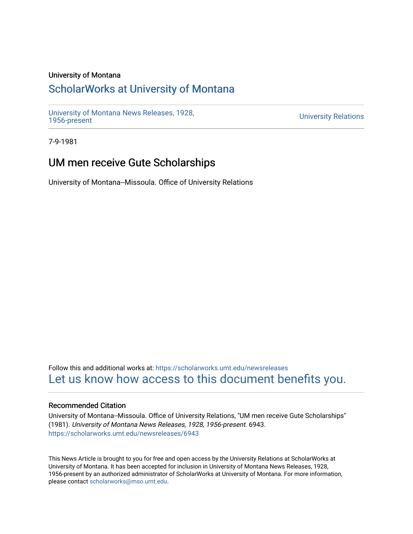### University of Montana

## [ScholarWorks at University of Montana](https://scholarworks.umt.edu/)

[University of Montana News Releases, 1928,](https://scholarworks.umt.edu/newsreleases) 

**University Relations** 

7-9-1981

## UM men receive Gute Scholarships

University of Montana--Missoula. Office of University Relations

Follow this and additional works at: [https://scholarworks.umt.edu/newsreleases](https://scholarworks.umt.edu/newsreleases?utm_source=scholarworks.umt.edu%2Fnewsreleases%2F6943&utm_medium=PDF&utm_campaign=PDFCoverPages) [Let us know how access to this document benefits you.](https://goo.gl/forms/s2rGfXOLzz71qgsB2) 

#### Recommended Citation

University of Montana--Missoula. Office of University Relations, "UM men receive Gute Scholarships" (1981). University of Montana News Releases, 1928, 1956-present. 6943. [https://scholarworks.umt.edu/newsreleases/6943](https://scholarworks.umt.edu/newsreleases/6943?utm_source=scholarworks.umt.edu%2Fnewsreleases%2F6943&utm_medium=PDF&utm_campaign=PDFCoverPages) 

This News Article is brought to you for free and open access by the University Relations at ScholarWorks at University of Montana. It has been accepted for inclusion in University of Montana News Releases, 1928, 1956-present by an authorized administrator of ScholarWorks at University of Montana. For more information, please contact [scholarworks@mso.umt.edu.](mailto:scholarworks@mso.umt.edu)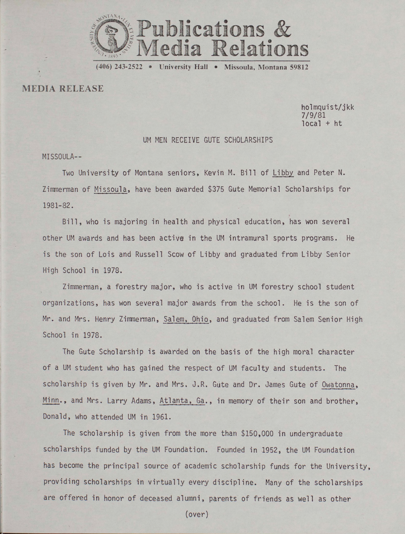

(406) 243-2522 University Hall • Missoula, Montana 59812

MEDIA RELEASE

holmquist/jkk 7/9/81  $local + ht$ 

#### UM MEN RECEIVE GUTE SCHOLARSHIPS

MISSOULA—

Two University of Montana seniors, Kevin M. Bill of Libby and Peter N. Zimmerman of Missoula, have been awarded \$375 Gute Memorial Scholarships for 1981-82.

Bill, who is majoring in health and physical education, has won several other UM awards and has been active in the UM intramural sports programs. He is the son of Lois and Russell Scow of Libby and graduated from Libby Senior High School in 1978.

Zimmerman, a forestry major, who is active in UM forestry school student organizations, has won several major awards from the school. He is the son of Mr. and Mrs. Henry Zimmerman, Salem, Ohio, and graduated from Salem Senior High School in 1978.

The Gute Scholarship is awarded on the basis of the high moral character of a UM student who has gained the respect of UM faculty and students. The scholarship is given by Mr. and Mrs. J.R. Gute and Dr. James Gute of Owatonna, Minn., and Mrs. Larry Adams, Atlanta, Ga., in memory of their son and brother, Donald, who attended UM in 1961.

The scholarship is given from the more than \$150,000 in undergraduate scholarships funded by the UM Foundation. Founded in 1952, the UM Foundation has become the principal source of academic scholarship funds for the University, providing scholarships in virtually every discipline. Many of the scholarships are offered in honor of deceased alumni, parents of friends as well as other

(over)